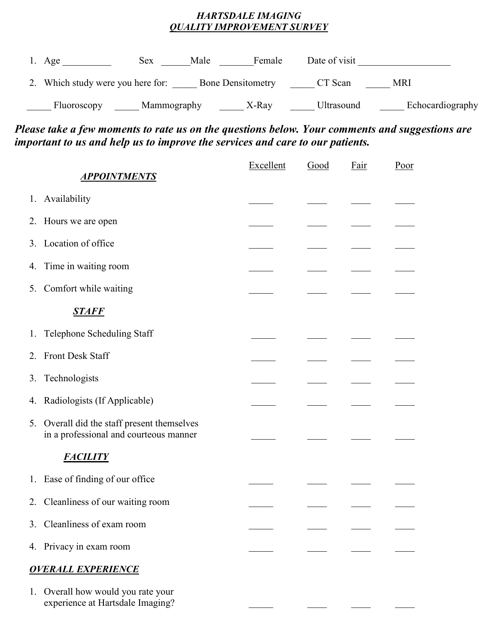## *HARTSDALE IMAGING QUALITY IMPROVEMENT SURVEY*

| Age                            | Sex<br>Male | Female                   | Date of visit     |                  |
|--------------------------------|-------------|--------------------------|-------------------|------------------|
| Which study were you here for: |             | <b>Bone Densitemetry</b> | CT Scan           | MRI              |
| Fluoroscopy                    | Mammography | X-Ray                    | <b>Ultrasound</b> | Echocardiography |

## *Please take a few moments to rate us on the questions below. Your comments and suggestions are important to us and help us to improve the services and care to our patients.*

| <b>APPOINTMENTS</b>                                                                              | Excellent | Good | Fair | Poor |
|--------------------------------------------------------------------------------------------------|-----------|------|------|------|
|                                                                                                  |           |      |      |      |
| 1. Availability                                                                                  |           |      |      |      |
| 2. Hours we are open                                                                             |           |      |      |      |
| Location of office<br>3.                                                                         |           |      |      |      |
| Time in waiting room<br>4.                                                                       |           |      |      |      |
| Comfort while waiting<br>5.                                                                      |           |      |      |      |
| <u>STAFF</u>                                                                                     |           |      |      |      |
| Telephone Scheduling Staff<br>1.                                                                 |           |      |      |      |
| Front Desk Staff<br>2.                                                                           |           |      |      |      |
| Technologists<br>3.                                                                              |           |      |      |      |
| Radiologists (If Applicable)<br>4.                                                               |           |      |      |      |
| Overall did the staff present themselves<br>5.<br>in a professional and courteous manner         |           |      |      |      |
| <b>FACILITY</b>                                                                                  |           |      |      |      |
| Ease of finding of our office<br>1.                                                              |           |      |      |      |
| Cleanliness of our waiting room<br>2.                                                            |           |      |      |      |
| 3. Cleanliness of exam room                                                                      |           |      |      |      |
| 4. Privacy in exam room                                                                          |           |      |      |      |
| <b>OVERALL EXPERIENCE</b>                                                                        |           |      |      |      |
| Overall how would you rate your<br>$\mathbf{1}_{\mathbf{1}}$<br>experience at Hartsdale Imaging? |           |      |      |      |